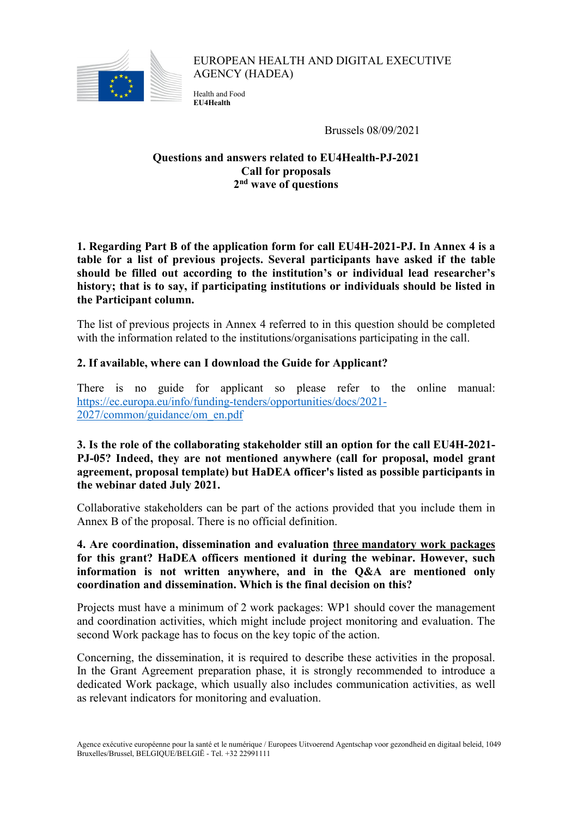<span id="page-0-0"></span>

EUROPEAN HEALTH AND DIGITAL EXECUTIVE AGENCY (HADEA)

Health and Food **EU4Health**

Brussels 08/09/2021

# **Questions and answers related to EU4Health-PJ-2021 Call for proposals 2nd wave of questions**

**1. Regarding Part B of the application form for call EU4H-2021-PJ. In Annex 4 is a table for a list of previous projects. Several participants have asked if the table should be filled out according to the institution's or individual lead researcher's history; that is to say, if participating institutions or individuals should be listed in the Participant column.**

The list of previous projects in Annex 4 referred to in this question should be completed with the information related to the institutions/organisations participating in the call.

# **2. If available, where can I download the Guide for Applicant?**

There is no guide for applicant so please refer to the online manual: [https://ec.europa.eu/info/funding-tenders/opportunities/docs/2021-](https://ec.europa.eu/info/funding-tenders/opportunities/docs/2021-2027/common/guidance/om_en.pdf) [2027/common/guidance/om\\_en.pdf](https://ec.europa.eu/info/funding-tenders/opportunities/docs/2021-2027/common/guidance/om_en.pdf)

### **3. Is the role of the collaborating stakeholder still an option for the call EU4H-2021- PJ-05? Indeed, they are not mentioned anywhere (call for proposal, model grant agreement, proposal template) but HaDEA officer's listed as possible participants in the webinar dated July 2021.**

Collaborative stakeholders can be part of the actions provided that you include them in Annex B of the proposal. There is no official definition.

**4. Are coordination, dissemination and evaluation three mandatory work packages for this grant? HaDEA officers mentioned it during the webinar. However, such information is not written anywhere, and in the Q&A are mentioned only coordination and dissemination. Which is the final decision on this?**

Projects must have a minimum of 2 work packages: WP1 should cover the management and coordination activities, which might include project monitoring and evaluation. The second Work package has to focus on the key topic of the action.

Concerning, the dissemination, it is required to describe these activities in the proposal. In the Grant Agreement preparation phase, it is strongly recommended to introduce a dedicated Work package, which usually also includes communication activities, as well as relevant indicators for monitoring and evaluation.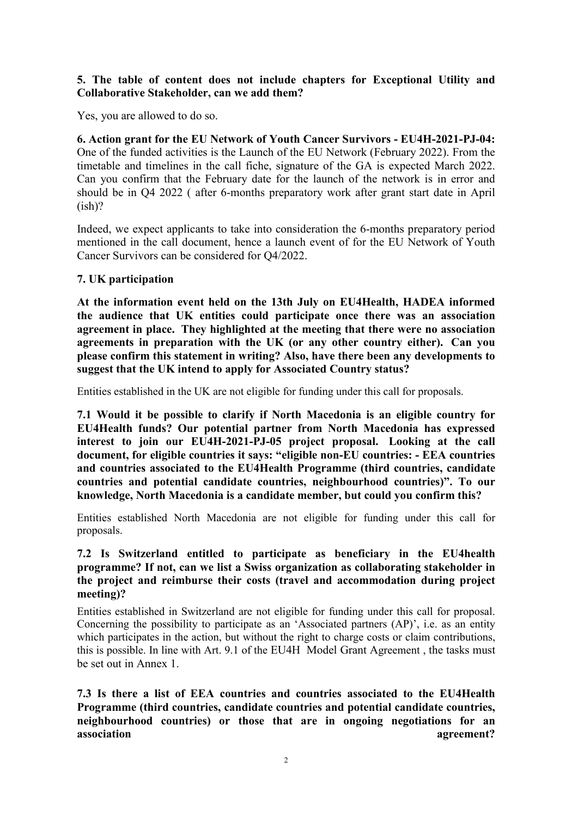# **5. The table of content does not include chapters for Exceptional Utility and Collaborative Stakeholder, can we add them?**

Yes, you are allowed to do so.

**6. Action grant for the EU Network of Youth Cancer Survivors - EU4H-2021-PJ-04:**  One of the funded activities is the Launch of the EU Network (February 2022). From the timetable and timelines in the call fiche, signature of the GA is expected March 2022. Can you confirm that the February date for the launch of the network is in error and should be in Q4 2022 ( after 6-months preparatory work after grant start date in April  $(ish)?$ 

Indeed, we expect applicants to take into consideration the 6-months preparatory period mentioned in the call document, hence a launch event of for the EU Network of Youth Cancer Survivors can be considered for Q4/2022.

### **7. UK participation**

**At the information event held on the 13th July on EU4Health, HADEA informed the audience that UK entities could participate once there was an association agreement in place. They highlighted at the meeting that there were no association agreements in preparation with the UK (or any other country either). Can you please confirm this statement in writing? Also, have there been any developments to suggest that the UK intend to apply for Associated Country status?** 

Entities established in the UK are not eligible for funding under this call for proposals.

**7.1 Would it be possible to clarify if North Macedonia is an eligible country for EU4Health funds? Our potential partner from North Macedonia has expressed interest to join our EU4H-2021-PJ-05 project proposal. Looking at the call document, for eligible countries it says: "eligible non-EU countries: - EEA countries and countries associated to the EU4Health Programme (third countries, candidate countries and potential candidate countries, neighbourhood countries)". To our knowledge, North Macedonia is a candidate member, but could you confirm this?** 

Entities established North Macedonia are not eligible for funding under this call for proposals.

# **7.2 Is Switzerland entitled to participate as beneficiary in the EU4health programme? If not, can we list a Swiss organization as collaborating stakeholder in the project and reimburse their costs (travel and accommodation during project meeting)?**

Entities established in Switzerland are not eligible for funding under this call for proposal. Concerning the possibility to participate as an 'Associated partners (AP)', i.e. as an entity which participates in the action, but without the right to charge costs or claim contributions, this is possible. In line with Art. 9.1 of the EU4H [Model Grant Ag](https://ec.europa.eu/info/funding-tenders/opportunities/docs/2021-2027/eu4h/agr-contr/mga_eu4h_en.pdf)reement , the tasks must be set out in Annex 1.

**7.3 Is there a list of EEA countries and countries associated to the EU4Health Programme (third countries, candidate countries and potential candidate countries, neighbourhood countries) or those that are in ongoing negotiations for an association** agreement?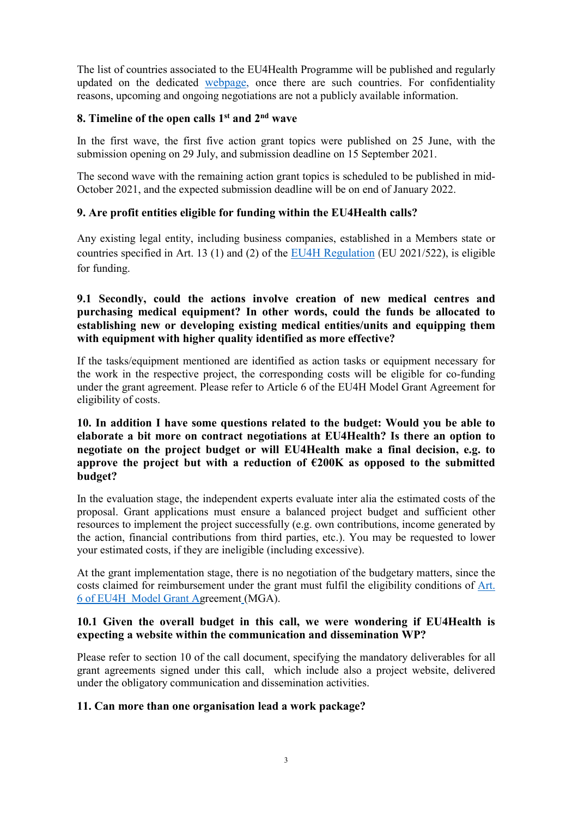The list of countries associated to the EU4Health Programme will be published and regularly updated on the dedicated [webpage,](https://ec.europa.eu/health/funding/eu4health_en) once there are such countries. For confidentiality reasons, upcoming and ongoing negotiations are not a publicly available information.

# **8. Timeline of the open calls 1st and 2nd wave**

In the first wave, the first five action grant topics were published on 25 June, with the submission opening on 29 July, and submission deadline on 15 September 2021.

The second wave with the remaining action grant topics is scheduled to be published in mid-October 2021, and the expected submission deadline will be on end of January 2022.

# **9. Are profit entities eligible for funding within the EU4Health calls?**

Any existing legal entity, including business companies, established in a Members state or countries specified in Art. 13 (1) and (2) of the [EU4H Regulation](https://eur-lex.europa.eu/legal-content/EN/TXT/?uri=uriserv:OJ.L_.2021.107.01.0001.01.ENG) (EU 2021/522), is eligible for funding.

### **9.1 Secondly, could the actions involve creation of new medical centres and purchasing medical equipment? In other words, could the funds be allocated to establishing new or developing existing medical entities/units and equipping them with equipment with higher quality identified as more effective?**

If the tasks/equipment mentioned are identified as action tasks or equipment necessary for the work in the respective project, the corresponding costs will be eligible for co-funding under the grant agreement. Please refer to Article 6 of the EU4H [Model Grant Ag](https://ec.europa.eu/info/funding-tenders/opportunities/docs/2021-2027/eu4h/agr-contr/mga_eu4h_en.pdf)reement for eligibility of costs.

## **10. In addition I have some questions related to the budget: Would you be able to elaborate a bit more on contract negotiations at EU4Health? Is there an option to negotiate on the project budget or will EU4Health make a final decision, e.g. to approve the project but with a reduction of €200K as opposed to the submitted budget?**

In the evaluation stage, the independent experts evaluate inter alia the estimated costs of the proposal. Grant applications must ensure a balanced project budget and sufficient other resources to implement the project successfully (e.g. own contributions, income generated by the action, financial contributions from third parties, etc.). You may be requested to lower your estimated costs, if they are ineligible (including excessive).

At the grant implementation stage, there is no negotiation of the budgetary matters, since the costs claimed for reimbursement under the grant must fulfil the eligibility conditions of [Art.](#page-0-0)  [6 of EU4H Model Grant Agreement](#page-0-0) (MGA).

### **10.1 Given the overall budget in this call, we were wondering if EU4Health is expecting a website within the communication and dissemination WP?**

Please refer to section 10 of the call document, specifying the mandatory deliverables for all grant agreements signed under this call, which include also a project website, delivered under the obligatory communication and dissemination activities.

#### **11. Can more than one organisation lead a work package?**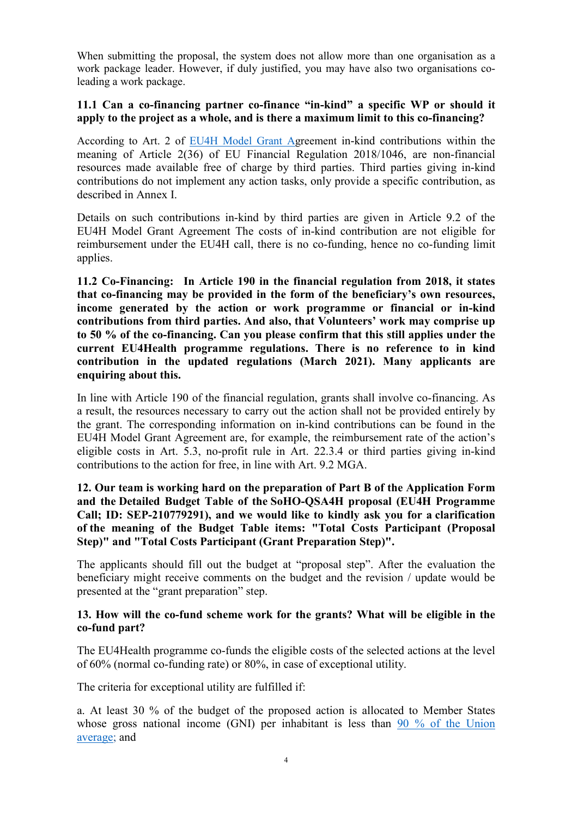When submitting the proposal, the system does not allow more than one organisation as a work package leader. However, if duly justified, you may have also two organisations coleading a work package.

### **11.1 Can a co-financing partner co-finance "in-kind" a specific WP or should it apply to the project as a whole, and is there a maximum limit to this co-financing?**

According to Art. 2 of [EU4H Model Grant Ag](https://ec.europa.eu/info/funding-tenders/opportunities/docs/2021-2027/eu4h/agr-contr/mga_eu4h_en.pdf)reement in-kind contributions within the meaning of Article 2(36) of EU Financial Regulation 2018/1046, are non-financial resources made available free of charge by third parties. Third parties giving in-kind contributions do not implement any action tasks, only provide a specific contribution, as described in Annex I.

Details on such contributions in-kind by third parties are given in Article 9.2 of the EU4H Model Grant Agreement The costs of in-kind contribution are not eligible for reimbursement under the EU4H call, there is no co-funding, hence no co-funding limit applies.

**11.2 Co-Financing: In Article 190 in the financial regulation from 2018, it states that co-financing may be provided in the form of the beneficiary's own resources, income generated by the action or work programme or financial or in-kind contributions from third parties. And also, that Volunteers' work may comprise up to 50 % of the co-financing. Can you please confirm that this still applies under the current EU4Health programme regulations. There is no reference to in kind contribution in the updated regulations (March 2021). Many applicants are enquiring about this.** 

In line with Article 190 of the financial regulation, grants shall involve co-financing. As a result, the resources necessary to carry out the action shall not be provided entirely by the grant. The corresponding information on in-kind contributions can be found in the [EU4H Model Grant Agreement](https://ec.europa.eu/info/funding-tenders/opportunities/docs/2021-2027/eu4h/agr-contr/mga_eu4h_en.pdf) are, for example, the reimbursement rate of the action's eligible costs in Art. 5.3, no-profit rule in Art. 22.3.4 or third parties giving in-kind contributions to the action for free, in line with Art. 9.2 MGA.

**12. Our team is working hard on the preparation of Part B of the Application Form and the Detailed Budget Table of the SoHO-QSA4H proposal (EU4H Programme Call; ID: SEP-210779291), and we would like to kindly ask you for a clarification of the meaning of the Budget Table items: "Total Costs Participant (Proposal Step)" and "Total Costs Participant (Grant Preparation Step)".**

The applicants should fill out the budget at "proposal step". After the evaluation the beneficiary might receive comments on the budget and the revision / update would be presented at the "grant preparation" step.

### **13. How will the co-fund scheme work for the grants? What will be eligible in the co-fund part?**

The EU4Health programme co-funds the eligible costs of the selected actions at the level of 60% (normal co-funding rate) or 80%, in case of exceptional utility.

The criteria for exceptional utility are fulfilled if:

a. At least 30 % of the budget of the proposed action is allocated to Member States whose gross national income (GNI) per inhabitant is less than [90 % of the Union](https://hadea.ec.europa.eu/news/info-session-grants-and-procurement-2021-07-16_en)  [average;](https://hadea.ec.europa.eu/news/info-session-grants-and-procurement-2021-07-16_en) and